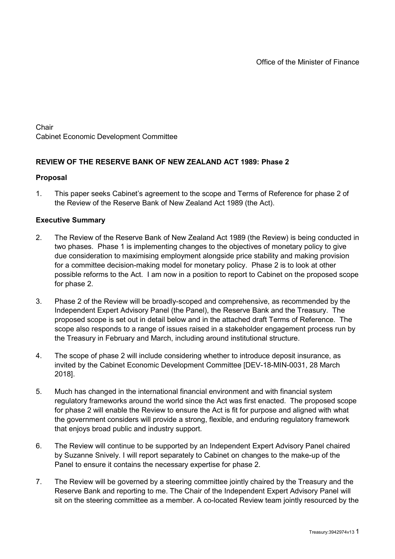**Chair** Cabinet Economic Development Committee

# **REVIEW OF THE RESERVE BANK OF NEW ZEALAND ACT 1989: Phase 2**

#### **Proposal**

1. This paper seeks Cabinet's agreement to the scope and Terms of Reference for phase 2 of the Review of the Reserve Bank of New Zealand Act 1989 (the Act).

### **Executive Summary**

- 2. The Review of the Reserve Bank of New Zealand Act 1989 (the Review) is being conducted in two phases. Phase 1 is implementing changes to the objectives of monetary policy to give due consideration to maximising employment alongside price stability and making provision for a committee decision-making model for monetary policy. Phase 2 is to look at other possible reforms to the Act. I am now in a position to report to Cabinet on the proposed scope for phase 2.
- 3. Phase 2 of the Review will be broadly-scoped and comprehensive, as recommended by the Independent Expert Advisory Panel (the Panel), the Reserve Bank and the Treasury. The proposed scope is set out in detail below and in the attached draft Terms of Reference. The scope also responds to a range of issues raised in a stakeholder engagement process run by the Treasury in February and March, including around institutional structure.
- 4. The scope of phase 2 will include considering whether to introduce deposit insurance, as invited by the Cabinet Economic Development Committee [DEV-18-MIN-0031, 28 March 2018].
- 5. Much has changed in the international financial environment and with financial system regulatory frameworks around the world since the Act was first enacted. The proposed scope for phase 2 will enable the Review to ensure the Act is fit for purpose and aligned with what the government considers will provide a strong, flexible, and enduring regulatory framework that enjoys broad public and industry support.
- 6. The Review will continue to be supported by an Independent Expert Advisory Panel chaired by Suzanne Snively. I will report separately to Cabinet on changes to the make-up of the Panel to ensure it contains the necessary expertise for phase 2.
- 7. The Review will be governed by a steering committee jointly chaired by the Treasury and the Reserve Bank and reporting to me. The Chair of the Independent Expert Advisory Panel will sit on the steering committee as a member. A co-located Review team jointly resourced by the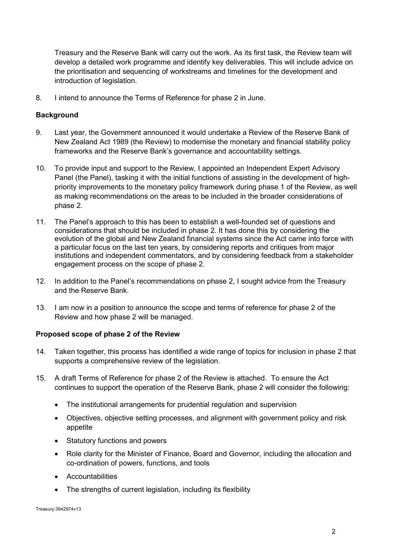Treasury and the Reserve Bank will carry out the work. As its first task, the Review team will develop a detailed work programme and identify key deliverables. This will include advice on the prioritisation and sequencing of workstreams and timelines for the development and introduction of legislation.

8. I intend to announce the Terms of Reference for phase 2 in June.

## **Background**

- 9. Last year, the Government announced it would undertake a Review of the Reserve Bank of New Zealand Act 1989 (the Review) to modernise the monetary and financial stability policy frameworks and the Reserve Bank's governance and accountability settings.
- 10. To provide input and support to the Review, I appointed an Independent Expert Advisory Panel (the Panel), tasking it with the initial functions of assisting in the development of highpriority improvements to the monetary policy framework during phase 1 of the Review, as well as making recommendations on the areas to be included in the broader considerations of phase 2.
- 11. The Panel's approach to this has been to establish a well-founded set of questions and considerations that should be included in phase 2. It has done this by considering the evolution of the global and New Zealand financial systems since the Act came into force with a particular focus on the last ten years, by considering reports and critiques from major institutions and independent commentators, and by considering feedback from a stakeholder engagement process on the scope of phase 2.
- 12. In addition to the Panel's recommendations on phase 2, I sought advice from the Treasury and the Reserve Bank.
- 13. I am now in a position to announce the scope and terms of reference for phase 2 of the Review and how phase 2 will be managed.

### **Proposed scope of phase 2 of the Review**

- 14. Taken together, this process has identified a wide range of topics for inclusion in phase 2 that supports a comprehensive review of the legislation.
- 15. A draft Terms of Reference for phase 2 of the Review is attached. To ensure the Act continues to support the operation of the Reserve Bank, phase 2 will consider the following:
	- The institutional arrangements for prudential regulation and supervision
	- Objectives, objective setting processes, and alignment with government policy and risk appetite
	- Statutory functions and powers
	- Role clarity for the Minister of Finance, Board and Governor, including the allocation and co-ordination of powers, functions, and tools
	- Accountabilities
	- The strengths of current legislation, including its flexibility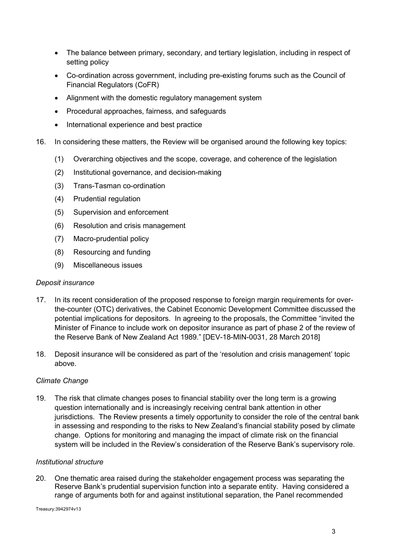- The balance between primary, secondary, and tertiary legislation, including in respect of setting policy
- Co-ordination across government, including pre-existing forums such as the Council of Financial Regulators (CoFR)
- Alignment with the domestic regulatory management system
- Procedural approaches, fairness, and safeguards
- International experience and best practice
- 16. In considering these matters, the Review will be organised around the following key topics:
	- (1) Overarching objectives and the scope, coverage, and coherence of the legislation
	- (2) Institutional governance, and decision-making
	- (3) Trans-Tasman co-ordination
	- (4) Prudential regulation
	- (5) Supervision and enforcement
	- (6) Resolution and crisis management
	- (7) Macro-prudential policy
	- (8) Resourcing and funding
	- (9) Miscellaneous issues

### *Deposit insurance*

- 17. In its recent consideration of the proposed response to foreign margin requirements for overthe-counter (OTC) derivatives, the Cabinet Economic Development Committee discussed the potential implications for depositors. In agreeing to the proposals, the Committee "invited the Minister of Finance to include work on depositor insurance as part of phase 2 of the review of the Reserve Bank of New Zealand Act 1989." [DEV-18-MIN-0031, 28 March 2018]
- 18. Deposit insurance will be considered as part of the 'resolution and crisis management' topic above.

### *Climate Change*

19. The risk that climate changes poses to financial stability over the long term is a growing question internationally and is increasingly receiving central bank attention in other jurisdictions. The Review presents a timely opportunity to consider the role of the central bank in assessing and responding to the risks to New Zealand's financial stability posed by climate change. Options for monitoring and managing the impact of climate risk on the financial system will be included in the Review's consideration of the Reserve Bank's supervisory role.

### *Institutional structure*

20. One thematic area raised during the stakeholder engagement process was separating the Reserve Bank's prudential supervision function into a separate entity. Having considered a range of arguments both for and against institutional separation, the Panel recommended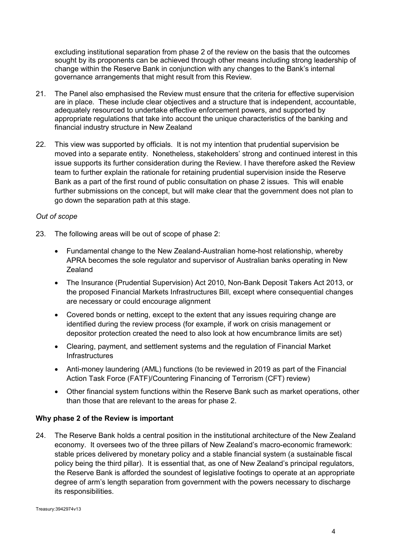excluding institutional separation from phase 2 of the review on the basis that the outcomes sought by its proponents can be achieved through other means including strong leadership of change within the Reserve Bank in conjunction with any changes to the Bank's internal governance arrangements that might result from this Review.

- 21. The Panel also emphasised the Review must ensure that the criteria for effective supervision are in place. These include clear objectives and a structure that is independent, accountable, adequately resourced to undertake effective enforcement powers, and supported by appropriate regulations that take into account the unique characteristics of the banking and financial industry structure in New Zealand
- 22. This view was supported by officials. It is not my intention that prudential supervision be moved into a separate entity. Nonetheless, stakeholders' strong and continued interest in this issue supports its further consideration during the Review. I have therefore asked the Review team to further explain the rationale for retaining prudential supervision inside the Reserve Bank as a part of the first round of public consultation on phase 2 issues. This will enable further submissions on the concept, but will make clear that the government does not plan to go down the separation path at this stage.

## *Out of scope*

- 23. The following areas will be out of scope of phase 2:
	- Fundamental change to the New Zealand-Australian home-host relationship, whereby APRA becomes the sole regulator and supervisor of Australian banks operating in New Zealand
	- The Insurance (Prudential Supervision) Act 2010, Non-Bank Deposit Takers Act 2013, or the proposed Financial Markets Infrastructures Bill, except where consequential changes are necessary or could encourage alignment
	- Covered bonds or netting, except to the extent that any issues requiring change are identified during the review process (for example, if work on crisis management or depositor protection created the need to also look at how encumbrance limits are set)
	- Clearing, payment, and settlement systems and the regulation of Financial Market **Infrastructures**
	- Anti-money laundering (AML) functions (to be reviewed in 2019 as part of the Financial Action Task Force (FATF)/Countering Financing of Terrorism (CFT) review)
	- Other financial system functions within the Reserve Bank such as market operations, other than those that are relevant to the areas for phase 2.

# **Why phase 2 of the Review is important**

24. The Reserve Bank holds a central position in the institutional architecture of the New Zealand economy. It oversees two of the three pillars of New Zealand's macro-economic framework: stable prices delivered by monetary policy and a stable financial system (a sustainable fiscal policy being the third pillar). It is essential that, as one of New Zealand's principal regulators, the Reserve Bank is afforded the soundest of legislative footings to operate at an appropriate degree of arm's length separation from government with the powers necessary to discharge its responsibilities.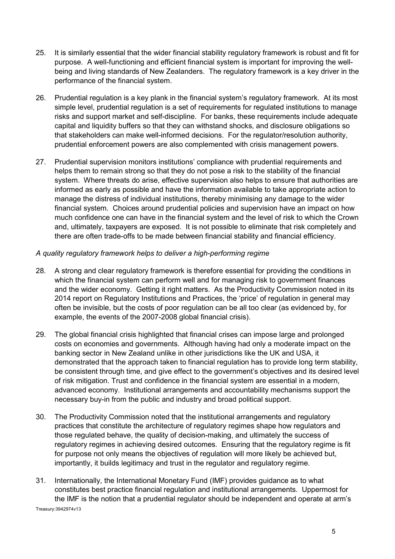- 25. It is similarly essential that the wider financial stability regulatory framework is robust and fit for purpose. A well-functioning and efficient financial system is important for improving the wellbeing and living standards of New Zealanders. The regulatory framework is a key driver in the performance of the financial system.
- 26. Prudential regulation is a key plank in the financial system's regulatory framework. At its most simple level, prudential regulation is a set of requirements for regulated institutions to manage risks and support market and self-discipline. For banks, these requirements include adequate capital and liquidity buffers so that they can withstand shocks, and disclosure obligations so that stakeholders can make well-informed decisions. For the regulator/resolution authority, prudential enforcement powers are also complemented with crisis management powers.
- 27. Prudential supervision monitors institutions' compliance with prudential requirements and helps them to remain strong so that they do not pose a risk to the stability of the financial system. Where threats do arise, effective supervision also helps to ensure that authorities are informed as early as possible and have the information available to take appropriate action to manage the distress of individual institutions, thereby minimising any damage to the wider financial system. Choices around prudential policies and supervision have an impact on how much confidence one can have in the financial system and the level of risk to which the Crown and, ultimately, taxpayers are exposed. It is not possible to eliminate that risk completely and there are often trade-offs to be made between financial stability and financial efficiency.

## *A quality regulatory framework helps to deliver a high-performing regime*

- 28. A strong and clear regulatory framework is therefore essential for providing the conditions in which the financial system can perform well and for managing risk to government finances and the wider economy. Getting it right matters. As the Productivity Commission noted in its 2014 report on Regulatory Institutions and Practices, the 'price' of regulation in general may often be invisible, but the costs of poor regulation can be all too clear (as evidenced by, for example, the events of the 2007-2008 global financial crisis).
- 29. The global financial crisis highlighted that financial crises can impose large and prolonged costs on economies and governments. Although having had only a moderate impact on the banking sector in New Zealand unlike in other jurisdictions like the UK and USA, it demonstrated that the approach taken to financial regulation has to provide long term stability, be consistent through time, and give effect to the government's objectives and its desired level of risk mitigation. Trust and confidence in the financial system are essential in a modern, advanced economy. Institutional arrangements and accountability mechanisms support the necessary buy-in from the public and industry and broad political support.
- 30. The Productivity Commission noted that the institutional arrangements and regulatory practices that constitute the architecture of regulatory regimes shape how regulators and those regulated behave, the quality of decision-making, and ultimately the success of regulatory regimes in achieving desired outcomes. Ensuring that the regulatory regime is fit for purpose not only means the objectives of regulation will more likely be achieved but, importantly, it builds legitimacy and trust in the regulator and regulatory regime.
- Treasury:3942974v13 31. Internationally, the International Monetary Fund (IMF) provides guidance as to what constitutes best practice financial regulation and institutional arrangements. Uppermost for the IMF is the notion that a prudential regulator should be independent and operate at arm's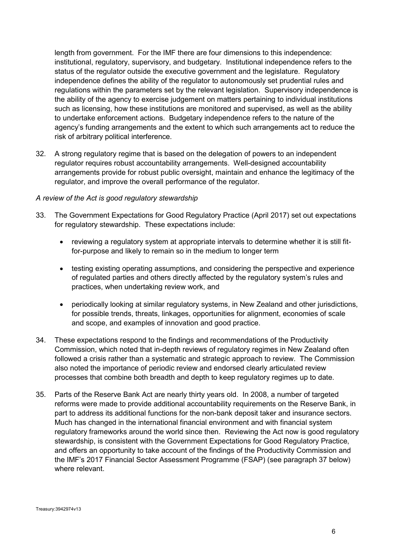length from government. For the IMF there are four dimensions to this independence: institutional, regulatory, supervisory, and budgetary. Institutional independence refers to the status of the regulator outside the executive government and the legislature. Regulatory independence defines the ability of the regulator to autonomously set prudential rules and regulations within the parameters set by the relevant legislation. Supervisory independence is the ability of the agency to exercise judgement on matters pertaining to individual institutions such as licensing, how these institutions are monitored and supervised, as well as the ability to undertake enforcement actions. Budgetary independence refers to the nature of the agency's funding arrangements and the extent to which such arrangements act to reduce the risk of arbitrary political interference.

32. A strong regulatory regime that is based on the delegation of powers to an independent regulator requires robust accountability arrangements. Well-designed accountability arrangements provide for robust public oversight, maintain and enhance the legitimacy of the regulator, and improve the overall performance of the regulator.

#### *A review of the Act is good regulatory stewardship*

- 33. The Government Expectations for Good Regulatory Practice (April 2017) set out expectations for regulatory stewardship. These expectations include:
	- reviewing a regulatory system at appropriate intervals to determine whether it is still fitfor-purpose and likely to remain so in the medium to longer term
	- testing existing operating assumptions, and considering the perspective and experience of regulated parties and others directly affected by the regulatory system's rules and practices, when undertaking review work, and
	- periodically looking at similar regulatory systems, in New Zealand and other jurisdictions, for possible trends, threats, linkages, opportunities for alignment, economies of scale and scope, and examples of innovation and good practice.
- 34. These expectations respond to the findings and recommendations of the Productivity Commission, which noted that in-depth reviews of regulatory regimes in New Zealand often followed a crisis rather than a systematic and strategic approach to review. The Commission also noted the importance of periodic review and endorsed clearly articulated review processes that combine both breadth and depth to keep regulatory regimes up to date.
- 35. Parts of the Reserve Bank Act are nearly thirty years old. In 2008, a number of targeted reforms were made to provide additional accountability requirements on the Reserve Bank, in part to address its additional functions for the non-bank deposit taker and insurance sectors. Much has changed in the international financial environment and with financial system regulatory frameworks around the world since then. Reviewing the Act now is good regulatory stewardship, is consistent with the Government Expectations for Good Regulatory Practice, and offers an opportunity to take account of the findings of the Productivity Commission and the IMF's 2017 Financial Sector Assessment Programme (FSAP) (see paragraph 37 below) where relevant.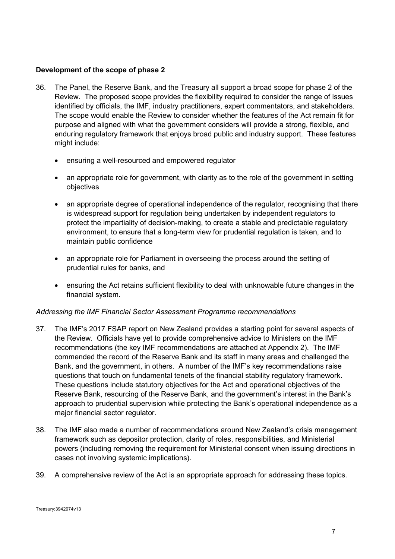### **Development of the scope of phase 2**

- 36. The Panel, the Reserve Bank, and the Treasury all support a broad scope for phase 2 of the Review. The proposed scope provides the flexibility required to consider the range of issues identified by officials, the IMF, industry practitioners, expert commentators, and stakeholders. The scope would enable the Review to consider whether the features of the Act remain fit for purpose and aligned with what the government considers will provide a strong, flexible, and enduring regulatory framework that enjoys broad public and industry support. These features might include:
	- ensuring a well-resourced and empowered regulator
	- an appropriate role for government, with clarity as to the role of the government in setting objectives
	- an appropriate degree of operational independence of the regulator, recognising that there is widespread support for regulation being undertaken by independent regulators to protect the impartiality of decision-making, to create a stable and predictable regulatory environment, to ensure that a long-term view for prudential regulation is taken, and to maintain public confidence
	- an appropriate role for Parliament in overseeing the process around the setting of prudential rules for banks, and
	- ensuring the Act retains sufficient flexibility to deal with unknowable future changes in the financial system.

### *Addressing the IMF Financial Sector Assessment Programme recommendations*

- 37. The IMF's 2017 FSAP report on New Zealand provides a starting point for several aspects of the Review. Officials have yet to provide comprehensive advice to Ministers on the IMF recommendations (the key IMF recommendations are attached at Appendix 2). The IMF commended the record of the Reserve Bank and its staff in many areas and challenged the Bank, and the government, in others. A number of the IMF's key recommendations raise questions that touch on fundamental tenets of the financial stability regulatory framework. These questions include statutory objectives for the Act and operational objectives of the Reserve Bank, resourcing of the Reserve Bank, and the government's interest in the Bank's approach to prudential supervision while protecting the Bank's operational independence as a major financial sector regulator.
- 38. The IMF also made a number of recommendations around New Zealand's crisis management framework such as depositor protection, clarity of roles, responsibilities, and Ministerial powers (including removing the requirement for Ministerial consent when issuing directions in cases not involving systemic implications).
- 39. A comprehensive review of the Act is an appropriate approach for addressing these topics.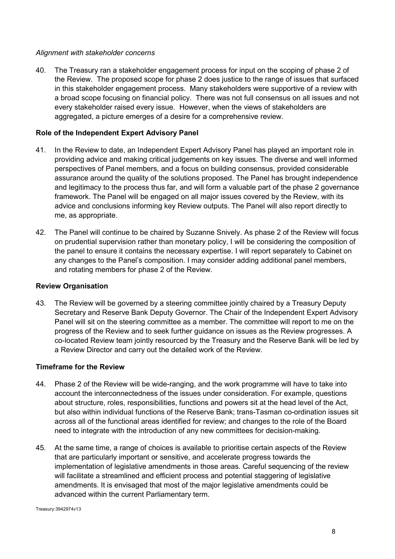### *Alignment with stakeholder concerns*

40. The Treasury ran a stakeholder engagement process for input on the scoping of phase 2 of the Review. The proposed scope for phase 2 does justice to the range of issues that surfaced in this stakeholder engagement process. Many stakeholders were supportive of a review with a broad scope focusing on financial policy. There was not full consensus on all issues and not every stakeholder raised every issue. However, when the views of stakeholders are aggregated, a picture emerges of a desire for a comprehensive review.

### **Role of the Independent Expert Advisory Panel**

- 41. In the Review to date, an Independent Expert Advisory Panel has played an important role in providing advice and making critical judgements on key issues. The diverse and well informed perspectives of Panel members, and a focus on building consensus, provided considerable assurance around the quality of the solutions proposed. The Panel has brought independence and legitimacy to the process thus far, and will form a valuable part of the phase 2 governance framework. The Panel will be engaged on all major issues covered by the Review, with its advice and conclusions informing key Review outputs. The Panel will also report directly to me, as appropriate.
- 42. The Panel will continue to be chaired by Suzanne Snively. As phase 2 of the Review will focus on prudential supervision rather than monetary policy, I will be considering the composition of the panel to ensure it contains the necessary expertise. I will report separately to Cabinet on any changes to the Panel's composition. I may consider adding additional panel members, and rotating members for phase 2 of the Review.

#### **Review Organisation**

43. The Review will be governed by a steering committee jointly chaired by a Treasury Deputy Secretary and Reserve Bank Deputy Governor. The Chair of the Independent Expert Advisory Panel will sit on the steering committee as a member. The committee will report to me on the progress of the Review and to seek further guidance on issues as the Review progresses. A co-located Review team jointly resourced by the Treasury and the Reserve Bank will be led by a Review Director and carry out the detailed work of the Review.

#### **Timeframe for the Review**

- 44. Phase 2 of the Review will be wide-ranging, and the work programme will have to take into account the interconnectedness of the issues under consideration. For example, questions about structure, roles, responsibilities, functions and powers sit at the head level of the Act, but also within individual functions of the Reserve Bank; trans-Tasman co-ordination issues sit across all of the functional areas identified for review; and changes to the role of the Board need to integrate with the introduction of any new committees for decision-making.
- 45. At the same time, a range of choices is available to prioritise certain aspects of the Review that are particularly important or sensitive, and accelerate progress towards the implementation of legislative amendments in those areas. Careful sequencing of the review will facilitate a streamlined and efficient process and potential staggering of legislative amendments. It is envisaged that most of the major legislative amendments could be advanced within the current Parliamentary term.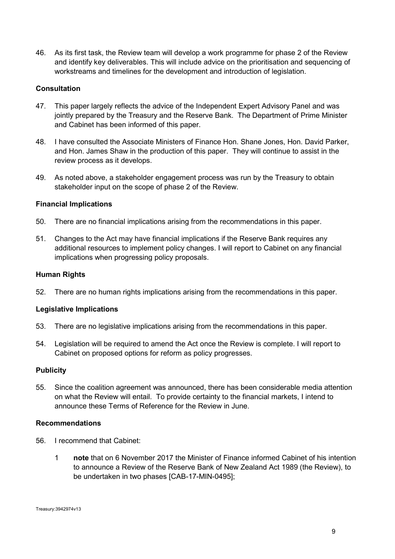46. As its first task, the Review team will develop a work programme for phase 2 of the Review and identify key deliverables. This will include advice on the prioritisation and sequencing of workstreams and timelines for the development and introduction of legislation.

### **Consultation**

- 47. This paper largely reflects the advice of the Independent Expert Advisory Panel and was jointly prepared by the Treasury and the Reserve Bank. The Department of Prime Minister and Cabinet has been informed of this paper.
- 48. I have consulted the Associate Ministers of Finance Hon. Shane Jones, Hon. David Parker, and Hon. James Shaw in the production of this paper. They will continue to assist in the review process as it develops.
- 49. As noted above, a stakeholder engagement process was run by the Treasury to obtain stakeholder input on the scope of phase 2 of the Review.

#### **Financial Implications**

- 50. There are no financial implications arising from the recommendations in this paper.
- 51. Changes to the Act may have financial implications if the Reserve Bank requires any additional resources to implement policy changes. I will report to Cabinet on any financial implications when progressing policy proposals.

#### **Human Rights**

52. There are no human rights implications arising from the recommendations in this paper.

#### **Legislative Implications**

- 53. There are no legislative implications arising from the recommendations in this paper.
- 54. Legislation will be required to amend the Act once the Review is complete. I will report to Cabinet on proposed options for reform as policy progresses.

#### **Publicity**

55. Since the coalition agreement was announced, there has been considerable media attention on what the Review will entail. To provide certainty to the financial markets, I intend to announce these Terms of Reference for the Review in June.

#### **Recommendations**

- 56. I recommend that Cabinet:
	- 1 **note** that on 6 November 2017 the Minister of Finance informed Cabinet of his intention to announce a Review of the Reserve Bank of New Zealand Act 1989 (the Review), to be undertaken in two phases [CAB-17-MIN-0495];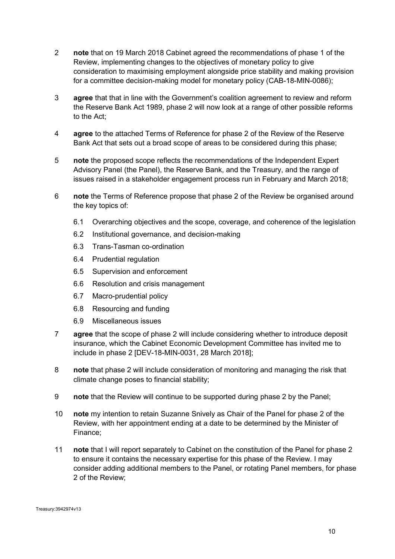- 2 **note** that on 19 March 2018 Cabinet agreed the recommendations of phase 1 of the Review, implementing changes to the objectives of monetary policy to give consideration to maximising employment alongside price stability and making provision for a committee decision-making model for monetary policy (CAB-18-MIN-0086);
- 3 **agree** that that in line with the Government's coalition agreement to review and reform the Reserve Bank Act 1989, phase 2 will now look at a range of other possible reforms to the Act;
- 4 **agree** to the attached Terms of Reference for phase 2 of the Review of the Reserve Bank Act that sets out a broad scope of areas to be considered during this phase;
- 5 **note** the proposed scope reflects the recommendations of the Independent Expert Advisory Panel (the Panel), the Reserve Bank, and the Treasury, and the range of issues raised in a stakeholder engagement process run in February and March 2018;
- 6 **note** the Terms of Reference propose that phase 2 of the Review be organised around the key topics of:
	- 6.1 Overarching objectives and the scope, coverage, and coherence of the legislation
	- 6.2 Institutional governance, and decision-making
	- 6.3 Trans-Tasman co-ordination
	- 6.4 Prudential regulation
	- 6.5 Supervision and enforcement
	- 6.6 Resolution and crisis management
	- 6.7 Macro-prudential policy
	- 6.8 Resourcing and funding
	- 6.9 Miscellaneous issues
- 7 **agree** that the scope of phase 2 will include considering whether to introduce deposit insurance, which the Cabinet Economic Development Committee has invited me to include in phase 2 [DEV-18-MIN-0031, 28 March 2018];
- 8 **note** that phase 2 will include consideration of monitoring and managing the risk that climate change poses to financial stability;
- 9 **note** that the Review will continue to be supported during phase 2 by the Panel;
- 10 **note** my intention to retain Suzanne Snively as Chair of the Panel for phase 2 of the Review, with her appointment ending at a date to be determined by the Minister of Finance;
- 11 **note** that I will report separately to Cabinet on the constitution of the Panel for phase 2 to ensure it contains the necessary expertise for this phase of the Review. I may consider adding additional members to the Panel, or rotating Panel members, for phase 2 of the Review;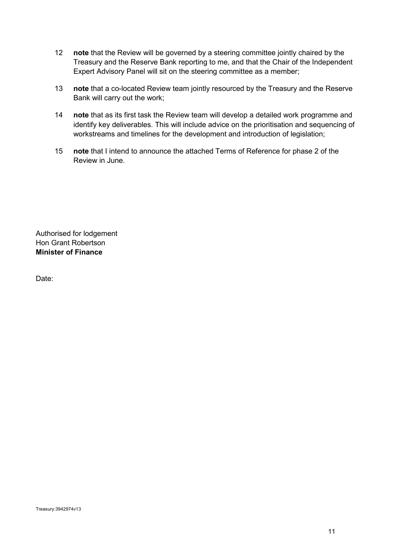- 12 **note** that the Review will be governed by a steering committee jointly chaired by the Treasury and the Reserve Bank reporting to me, and that the Chair of the Independent Expert Advisory Panel will sit on the steering committee as a member;
- 13 **note** that a co-located Review team jointly resourced by the Treasury and the Reserve Bank will carry out the work;
- 14 **note** that as its first task the Review team will develop a detailed work programme and identify key deliverables. This will include advice on the prioritisation and sequencing of workstreams and timelines for the development and introduction of legislation;
- 15 **note** that I intend to announce the attached Terms of Reference for phase 2 of the Review in June.

Authorised for lodgement Hon Grant Robertson **Minister of Finance** 

Date: